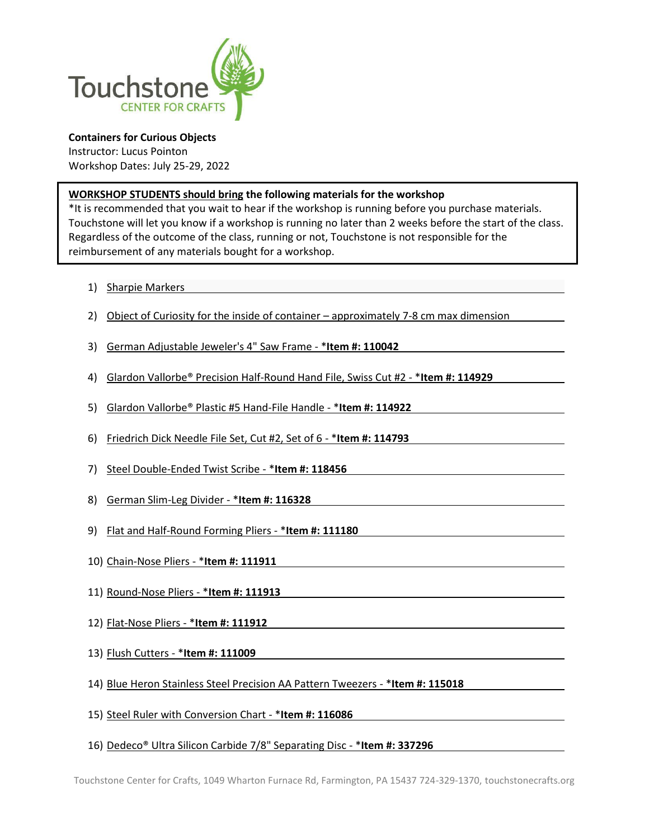

**Containers for Curious Objects** Instructor: Lucus Pointon Workshop Dates: July 25-29, 2022

## **WORKSHOP STUDENTS should bring the following materials for the workshop**

\*It is recommended that you wait to hear if the workshop is running before you purchase materials. Touchstone will let you know if a workshop is running no later than 2 weeks before the start of the class. Regardless of the outcome of the class, running or not, Touchstone is not responsible for the reimbursement of any materials bought for a workshop.

- 1) Sharpie Markers
- 2) Object of Curiosity for the inside of container approximately 7-8 cm max dimension
- 3) German Adjustable Jeweler's 4" Saw Frame \***Item #: 110042**
- 4) Glardon Vallorbe® Precision Half-Round Hand File, Swiss Cut #2 \***Item #: 114929**
- 5) Glardon Vallorbe® Plastic #5 Hand-File Handle \***Item #: 114922**
- 6) Friedrich Dick Needle File Set, Cut #2, Set of 6 \***Item #: 114793**
- 7) Steel Double-Ended Twist Scribe \***Item #: 118456**
- 8) German Slim-Leg Divider \***Item #: 116328**
- 9) Flat and Half-Round Forming Pliers \***Item #: 111180**
- 10) Chain-Nose Pliers \***Item #: 111911**
- 11) Round-Nose Pliers \***Item #: 111913**
- 12) Flat-Nose Pliers \***Item #: 111912**
- 13) Flush Cutters \***Item #: 111009**
- 14) Blue Heron Stainless Steel Precision AA Pattern Tweezers \***Item #: 115018**
- 15) Steel Ruler with Conversion Chart \***Item #: 116086**
- 16) Dedeco® Ultra Silicon Carbide 7/8" Separating Disc \***Item #: 337296**

Touchstone Center for Crafts, 1049 Wharton Furnace Rd, Farmington, PA 15437 724-329-1370, touchstonecrafts.org